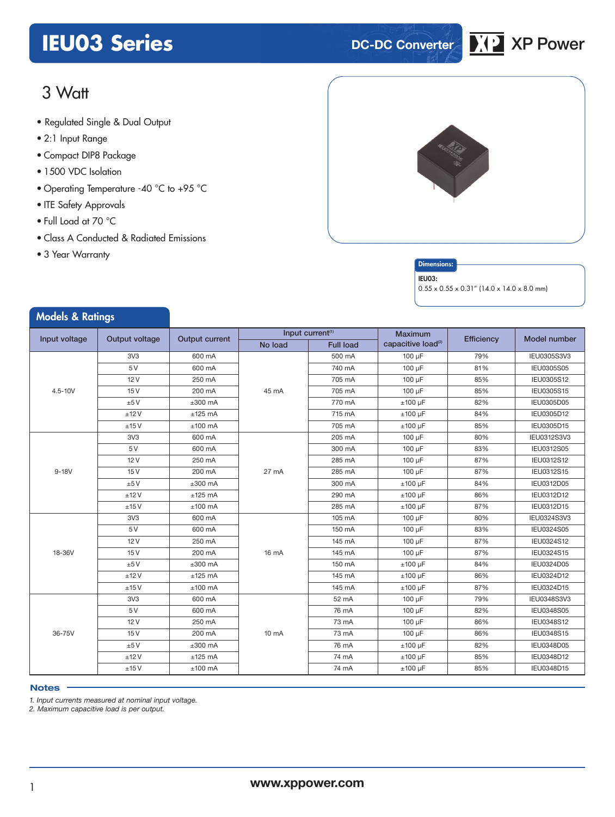## **IEU03 Series DC-DC Converter XP** XP Power



### 3 Watt

- **xxx Series** Regulated Single & Dual Output
- 2:1 Input Range
- Compact DIP8 Package
- 1500 VDC Isolation
- Operating Temperature -40 °C to +95 °C
- ITE Safety Approvals
- Full Load at 70 °C
- Class A Conducted & Radiated Emissions
- 3 Year Warranty



#### **Dimensions**

#### IEU03:

 $0.55 \times 0.55 \times 0.31''$  (14.0 x 14.0 x 8.0 mm)

| <b>Models &amp; Ratings</b>     |                 |                                                       |                   |                  |                                |            |                     |
|---------------------------------|-----------------|-------------------------------------------------------|-------------------|------------------|--------------------------------|------------|---------------------|
| Input voltage<br>Output voltage |                 | Input current <sup>(1)</sup><br><b>Output current</b> |                   |                  | <b>Maximum</b>                 | Efficiency | <b>Model number</b> |
|                                 |                 |                                                       | No load           | <b>Full load</b> | capacitive load <sup>(2)</sup> |            |                     |
|                                 | 3V <sub>3</sub> | 600 mA                                                |                   | 500 mA           | 100 µF                         | 79%        | IEU0305S3V3         |
|                                 | 5 V             | 600 mA                                                |                   | 740 mA           | 100 µF                         | 81%        | <b>IEU0305S05</b>   |
|                                 | 12V             | 250 mA                                                |                   | 705 mA           | 100 µF                         | 85%        | IEU0305S12          |
| $4.5 - 10V$                     | 15V             | 200 mA                                                | 45 mA             | 705 mA           | 100 µF                         | 85%        | IEU0305S15          |
|                                 | ±5V             | $±300$ mA                                             |                   | 770 mA           | $±100~\mu F$                   | 82%        | IEU0305D05          |
|                                 | ±12V            | $±125$ mA                                             |                   | 715 mA           | $±100 \mu F$                   | 84%        | IEU0305D12          |
|                                 | ±15V            | $±100$ mA                                             |                   | 705 mA           | $±100~\mu F$                   | 85%        | IEU0305D15          |
|                                 | 3V <sub>3</sub> | 600 mA                                                |                   | 205 mA           | 100 µF                         | 80%        | IEU0312S3V3         |
|                                 | 5 V             | 600 mA                                                |                   | 300 mA           | 100 µF                         | 83%        | IEU0312S05          |
|                                 | 12V             | 250 mA                                                | 27 mA             | 285 mA           | 100 µF                         | 87%        | IEU0312S12          |
| $9-18V$                         | 15V             | 200 mA                                                |                   | 285 mA           | 100 µF                         | 87%        | IEU0312S15          |
|                                 | ±5V             | $±300$ mA                                             |                   | 300 mA           | $±100$ uF                      | 84%        | IEU0312D05          |
|                                 | ±12V            | $±125$ mA                                             |                   | 290 mA           | $±100~\mu F$                   | 86%        | IEU0312D12          |
|                                 | ±15V            | $±100$ mA                                             |                   | 285 mA           | $±100 \mu F$                   | 87%        | IEU0312D15          |
|                                 | 3V <sub>3</sub> | 600 mA                                                |                   | 105 mA           | 100 µF                         | 80%        | IEU0324S3V3         |
|                                 | 5 V             | 600 mA                                                |                   | 150 mA           | 100 µF                         | 83%        | IEU0324S05          |
|                                 | 12V             | 250 mA                                                |                   | 145 mA           | 100 µF                         | 87%        | IEU0324S12          |
| 18-36V                          | 15V             | 200 mA                                                | 16 mA             | 145 mA           | 100 uF                         | 87%        | IEU0324S15          |
|                                 | ±5V             | $±300$ mA                                             |                   | 150 mA           | $±100~\mu F$                   | 84%        | IEU0324D05          |
|                                 | ±12V            | $±125$ mA                                             |                   | 145 mA           | $±100 \mu F$                   | 86%        | IEU0324D12          |
|                                 | ±15V            | $±100$ mA                                             |                   | 145 mA           | $±100 \mu F$                   | 87%        | IEU0324D15          |
|                                 | 3V <sub>3</sub> | 600 mA                                                |                   | 52 mA            | 100 µF                         | 79%        | IEU0348S3V3         |
|                                 | 5V              | 600 mA                                                |                   | 76 mA            | 100 µF                         | 82%        | <b>IEU0348S05</b>   |
|                                 | 12V             | 250 mA                                                | 10 <sub>m</sub> A | 73 mA            | 100 µF                         | 86%        | IEU0348S12          |
| 36-75V                          | 15V             | 200 mA                                                |                   | 73 mA            | 100 µF                         | 86%        | IEU0348S15          |
|                                 | ±5V             | $±300$ mA                                             |                   | 76 mA            | $±100 \mu F$                   | 82%        | IEU0348D05          |
|                                 | ±12V            | $±125$ mA                                             |                   | 74 mA            | $±100 \mu F$                   | 85%        | IEU0348D12          |
|                                 | ±15V            | $±100$ mA                                             |                   | 74 mA            | $±100 \mu F$                   | 85%        | IEU0348D15          |

#### **Notes**

*1. Input currents measured at nominal input voltage.* 

*2. Maximum capacitive load is per output.*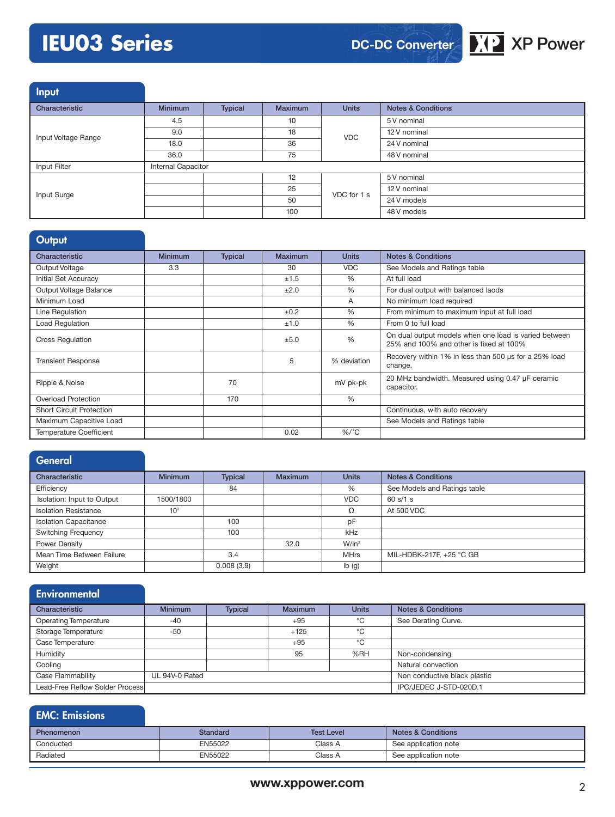### **IEU03 Series XP Power**



Input

| and the control     |                           |                |                |              |                               |
|---------------------|---------------------------|----------------|----------------|--------------|-------------------------------|
| Characteristic      | <b>Minimum</b>            | <b>Typical</b> | <b>Maximum</b> | <b>Units</b> | <b>Notes &amp; Conditions</b> |
|                     | 4.5                       |                | 10             |              | 5 V nominal                   |
| Input Voltage Range | 9.0                       |                | 18             | <b>VDC</b>   | 12 V nominal                  |
|                     | 18.0                      |                | 36             |              | 24 V nominal                  |
|                     | 36.0                      |                | 75             |              | 48 V nominal                  |
| Input Filter        | <b>Internal Capacitor</b> |                |                |              |                               |
|                     |                           |                | 12             | VDC for 1 s  | 5 V nominal                   |
| Input Surge         |                           |                | 25             |              | 12 V nominal                  |
|                     |                           |                | 50             |              | 24 V models                   |
|                     |                           |                | 100            |              | 48 V models                   |

#### **Output**

| Characteristic                  | <b>Minimum</b> | <b>Typical</b> | <b>Maximum</b> | <b>Units</b> | <b>Notes &amp; Conditions</b>                                                                    |
|---------------------------------|----------------|----------------|----------------|--------------|--------------------------------------------------------------------------------------------------|
| Output Voltage                  | 3.3            |                | 30             | <b>VDC</b>   | See Models and Ratings table                                                                     |
| Initial Set Accuracy            |                |                | ±1.5           | %            | At full load                                                                                     |
| Output Voltage Balance          |                |                | ±2.0           | %            | For dual output with balanced laods                                                              |
| Minimum Load                    |                |                |                | A            | No minimum load required                                                                         |
| Line Regulation                 |                |                | ±0.2           | %            | From minimum to maximum input at full load                                                       |
| Load Regulation                 |                |                | ±1.0           | %            | From 0 to full load                                                                              |
| <b>Cross Regulation</b>         |                |                | ±5.0           | %            | On dual output models when one load is varied between<br>25% and 100% and other is fixed at 100% |
| <b>Transient Response</b>       |                |                | 5              | % deviation  | Recovery within 1% in less than 500 us for a 25% load<br>change.                                 |
| Ripple & Noise                  |                | 70             |                | mV pk-pk     | 20 MHz bandwidth. Measured using 0.47 µF ceramic<br>capacitor.                                   |
| <b>Overload Protection</b>      |                | 170            |                | %            |                                                                                                  |
| <b>Short Circuit Protection</b> |                |                |                |              | Continuous, with auto recovery                                                                   |
| Maximum Capacitive Load         |                |                |                |              | See Models and Ratings table                                                                     |
| <b>Temperature Coefficient</b>  |                |                | 0.02           | $%$ /°C      |                                                                                                  |

| General                      |                 |                |                |                           |                               |
|------------------------------|-----------------|----------------|----------------|---------------------------|-------------------------------|
| Characteristic               | <b>Minimum</b>  | <b>Typical</b> | <b>Maximum</b> | <b>Units</b>              | <b>Notes &amp; Conditions</b> |
| Efficiency                   |                 | 84             |                | %                         | See Models and Ratings table  |
| Isolation: Input to Output   | 1500/1800       |                |                | <b>VDC</b>                | 60 s/1 s                      |
| <b>Isolation Resistance</b>  | 10 <sup>9</sup> |                |                | Ω                         | At 500 VDC                    |
| <b>Isolation Capacitance</b> |                 | 100            |                | pF                        |                               |
| <b>Switching Frequency</b>   |                 | 100            |                | kHz                       |                               |
| Power Density                |                 |                | 32.0           | W/in <sup>3</sup>         |                               |
| Mean Time Between Failure    |                 | 3.4            |                | <b>MHrs</b>               | MIL-HDBK-217F, +25 °C GB      |
| Weight                       |                 | 0.008(3.9)     |                | $\mathsf{lb}(\mathsf{g})$ |                               |

#### **Environmental** Characteristic Minimum Typical Maximum Units Notes & Conditions Operating Temperature -40 -40 +95 + 95 C See Derating Curve. Storage Temperature -50 +125 °C<br>
Case Temperature +95 °C Case Temperature +95 Humidity **95** %RH Non-condensing Cooling Cooling and Cooling and Cooling and Cooling and Cooling and Cooling and Cooling and Cooling and Cooling and Cooling and Cooling and Cooling and Cooling and Cooling and Cooling and Cooling and Cooling and Cooling an Case Flammability UL 94V-0 Rated Non conductive black plastic Non conductive black plastic Lead-Free Reflow Solder Process **IPC/JEDEC J-STD-020D.1**

| <b>EMC: Emissions</b> |          |                   |                               |
|-----------------------|----------|-------------------|-------------------------------|
| <b>Phenomenon</b>     | Standard | <b>Test Level</b> | <b>Notes &amp; Conditions</b> |
| Conducted             | EN55022  | Class A           | See application note          |
| Radiated              | EN55022  | Class A           | See application note          |